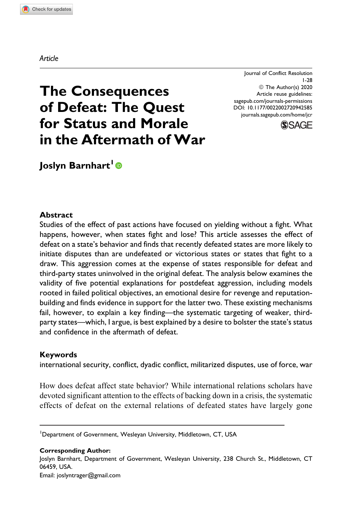Journal of Conflict Resolution 1-28 © The Author(s) 2020 Article reuse guidelines: [sagepub.com/journals-permissions](https://sagepub.com/journals-permissions) [DOI: 10.1177/0022002720942585](https://doi.org/10.1177/0022002720942585) [journals.sagepub.com/home/jcr](http://journals.sagepub.com/home/jcr)



# The Consequences of Defeat: The Quest for Status and Morale in the Aftermath of War

Joslyn Barnhart<sup>1</sup><sup>®</sup>

## Abstract

Studies of the effect of past actions have focused on yielding without a fight. What happens, however, when states fight and lose? This article assesses the effect of defeat on a state's behavior and finds that recently defeated states are more likely to initiate disputes than are undefeated or victorious states or states that fight to a draw. This aggression comes at the expense of states responsible for defeat and third-party states uninvolved in the original defeat. The analysis below examines the validity of five potential explanations for postdefeat aggression, including models rooted in failed political objectives, an emotional desire for revenge and reputationbuilding and finds evidence in support for the latter two. These existing mechanisms fail, however, to explain a key finding—the systematic targeting of weaker, thirdparty states—which, I argue, is best explained by a desire to bolster the state's status and confidence in the aftermath of defeat.

## Keywords

international security, conflict, dyadic conflict, militarized disputes, use of force, war

How does defeat affect state behavior? While international relations scholars have devoted significant attention to the effects of backing down in a crisis, the systematic effects of defeat on the external relations of defeated states have largely gone

Corresponding Author: Joslyn Barnhart, Department of Government, Wesleyan University, 238 Church St., Middletown, CT 06459, USA. Email: [joslyntrager@gmail.com](mailto:joslyntrager@gmail.com)

### Article

<sup>&</sup>lt;sup>1</sup>Department of Government, Wesleyan University, Middletown, CT, USA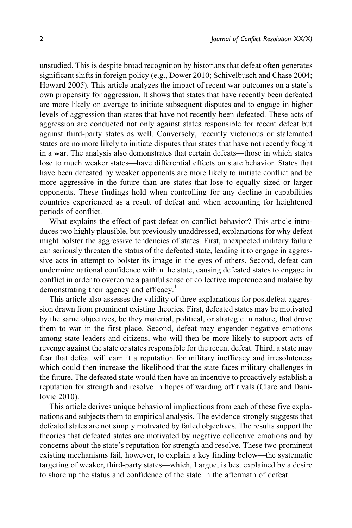unstudied. This is despite broad recognition by historians that defeat often generates significant shifts in foreign policy (e.g., Dower 2010; Schivelbusch and Chase 2004; Howard 2005). This article analyzes the impact of recent war outcomes on a state's own propensity for aggression. It shows that states that have recently been defeated are more likely on average to initiate subsequent disputes and to engage in higher levels of aggression than states that have not recently been defeated. These acts of aggression are conducted not only against states responsible for recent defeat but against third-party states as well. Conversely, recently victorious or stalemated states are no more likely to initiate disputes than states that have not recently fought in a war. The analysis also demonstrates that certain defeats—those in which states lose to much weaker states—have differential effects on state behavior. States that have been defeated by weaker opponents are more likely to initiate conflict and be more aggressive in the future than are states that lose to equally sized or larger opponents. These findings hold when controlling for any decline in capabilities countries experienced as a result of defeat and when accounting for heightened periods of conflict.

What explains the effect of past defeat on conflict behavior? This article introduces two highly plausible, but previously unaddressed, explanations for why defeat might bolster the aggressive tendencies of states. First, unexpected military failure can seriously threaten the status of the defeated state, leading it to engage in aggressive acts in attempt to bolster its image in the eyes of others. Second, defeat can undermine national confidence within the state, causing defeated states to engage in conflict in order to overcome a painful sense of collective impotence and malaise by demonstrating their agency and efficacy.<sup>1</sup>

This article also assesses the validity of three explanations for postdefeat aggression drawn from prominent existing theories. First, defeated states may be motivated by the same objectives, be they material, political, or strategic in nature, that drove them to war in the first place. Second, defeat may engender negative emotions among state leaders and citizens, who will then be more likely to support acts of revenge against the state or states responsible for the recent defeat. Third, a state may fear that defeat will earn it a reputation for military inefficacy and irresoluteness which could then increase the likelihood that the state faces military challenges in the future. The defeated state would then have an incentive to proactively establish a reputation for strength and resolve in hopes of warding off rivals (Clare and Danilovic 2010).

This article derives unique behavioral implications from each of these five explanations and subjects them to empirical analysis. The evidence strongly suggests that defeated states are not simply motivated by failed objectives. The results support the theories that defeated states are motivated by negative collective emotions and by concerns about the state's reputation for strength and resolve. These two prominent existing mechanisms fail, however, to explain a key finding below—the systematic targeting of weaker, third-party states—which, I argue, is best explained by a desire to shore up the status and confidence of the state in the aftermath of defeat.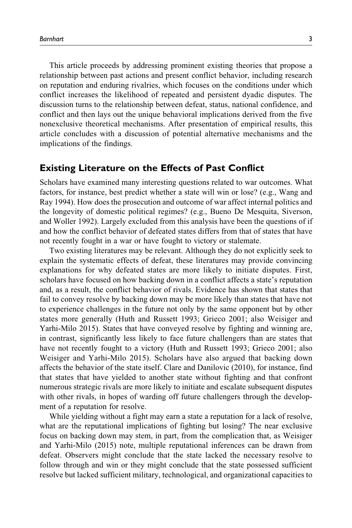This article proceeds by addressing prominent existing theories that propose a relationship between past actions and present conflict behavior, including research on reputation and enduring rivalries, which focuses on the conditions under which conflict increases the likelihood of repeated and persistent dyadic disputes. The discussion turns to the relationship between defeat, status, national confidence, and conflict and then lays out the unique behavioral implications derived from the five nonexclusive theoretical mechanisms. After presentation of empirical results, this article concludes with a discussion of potential alternative mechanisms and the implications of the findings.

## Existing Literature on the Effects of Past Conflict

Scholars have examined many interesting questions related to war outcomes. What factors, for instance, best predict whether a state will win or lose? (e.g., Wang and Ray 1994). How does the prosecution and outcome of war affect internal politics and the longevity of domestic political regimes? (e.g., Bueno De Mesquita, Siverson, and Woller 1992). Largely excluded from this analysis have been the questions of if and how the conflict behavior of defeated states differs from that of states that have not recently fought in a war or have fought to victory or stalemate.

Two existing literatures may be relevant. Although they do not explicitly seek to explain the systematic effects of defeat, these literatures may provide convincing explanations for why defeated states are more likely to initiate disputes. First, scholars have focused on how backing down in a conflict affects a state's reputation and, as a result, the conflict behavior of rivals. Evidence has shown that states that fail to convey resolve by backing down may be more likely than states that have not to experience challenges in the future not only by the same opponent but by other states more generally (Huth and Russett 1993; Grieco 2001; also Weisiger and Yarhi-Milo 2015). States that have conveyed resolve by fighting and winning are, in contrast, significantly less likely to face future challengers than are states that have not recently fought to a victory (Huth and Russett 1993; Grieco 2001; also Weisiger and Yarhi-Milo 2015). Scholars have also argued that backing down affects the behavior of the state itself. Clare and Danilovic (2010), for instance, find that states that have yielded to another state without fighting and that confront numerous strategic rivals are more likely to initiate and escalate subsequent disputes with other rivals, in hopes of warding off future challengers through the development of a reputation for resolve.

While yielding without a fight may earn a state a reputation for a lack of resolve, what are the reputational implications of fighting but losing? The near exclusive focus on backing down may stem, in part, from the complication that, as Weisiger and Yarhi-Milo (2015) note, multiple reputational inferences can be drawn from defeat. Observers might conclude that the state lacked the necessary resolve to follow through and win or they might conclude that the state possessed sufficient resolve but lacked sufficient military, technological, and organizational capacities to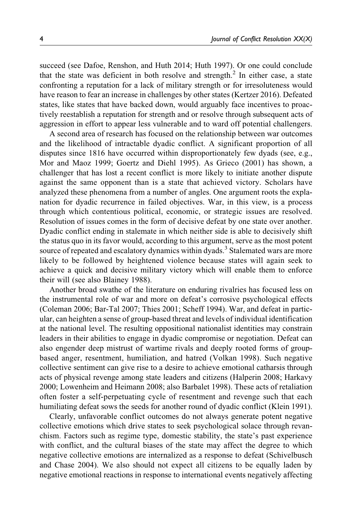succeed (see Dafoe, Renshon, and Huth 2014; Huth 1997). Or one could conclude that the state was deficient in both resolve and strength. $<sup>2</sup>$  In either case, a state</sup> confronting a reputation for a lack of military strength or for irresoluteness would have reason to fear an increase in challenges by other states (Kertzer 2016). Defeated states, like states that have backed down, would arguably face incentives to proactively reestablish a reputation for strength and or resolve through subsequent acts of aggression in effort to appear less vulnerable and to ward off potential challengers.

A second area of research has focused on the relationship between war outcomes and the likelihood of intractable dyadic conflict. A significant proportion of all disputes since 1816 have occurred within disproportionately few dyads (see, e.g., Mor and Maoz 1999; Goertz and Diehl 1995). As Grieco (2001) has shown, a challenger that has lost a recent conflict is more likely to initiate another dispute against the same opponent than is a state that achieved victory. Scholars have analyzed these phenomena from a number of angles. One argument roots the explanation for dyadic recurrence in failed objectives. War, in this view, is a process through which contentious political, economic, or strategic issues are resolved. Resolution of issues comes in the form of decisive defeat by one state over another. Dyadic conflict ending in stalemate in which neither side is able to decisively shift the status quo in its favor would, according to this argument, serve as the most potent source of repeated and escalatory dynamics within dyads.<sup>3</sup> Stalemated wars are more likely to be followed by heightened violence because states will again seek to achieve a quick and decisive military victory which will enable them to enforce their will (see also Blainey 1988).

Another broad swathe of the literature on enduring rivalries has focused less on the instrumental role of war and more on defeat's corrosive psychological effects (Coleman 2006; Bar-Tal 2007; Thies 2001; Scheff 1994). War, and defeat in particular, can heighten a sense of group-based threat and levels of individual identification at the national level. The resulting oppositional nationalist identities may constrain leaders in their abilities to engage in dyadic compromise or negotiation. Defeat can also engender deep mistrust of wartime rivals and deeply rooted forms of groupbased anger, resentment, humiliation, and hatred (Volkan 1998). Such negative collective sentiment can give rise to a desire to achieve emotional catharsis through acts of physical revenge among state leaders and citizens (Halperin 2008; Harkavy 2000; Lowenheim and Heimann 2008; also Barbalet 1998). These acts of retaliation often foster a self-perpetuating cycle of resentment and revenge such that each humiliating defeat sows the seeds for another round of dyadic conflict (Klein 1991).

Clearly, unfavorable conflict outcomes do not always generate potent negative collective emotions which drive states to seek psychological solace through revanchism. Factors such as regime type, domestic stability, the state's past experience with conflict, and the cultural biases of the state may affect the degree to which negative collective emotions are internalized as a response to defeat (Schivelbusch and Chase 2004). We also should not expect all citizens to be equally laden by negative emotional reactions in response to international events negatively affecting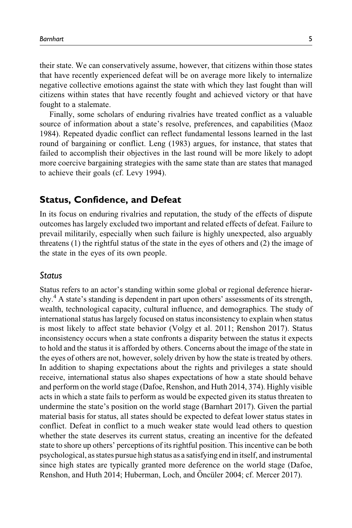their state. We can conservatively assume, however, that citizens within those states that have recently experienced defeat will be on average more likely to internalize negative collective emotions against the state with which they last fought than will citizens within states that have recently fought and achieved victory or that have fought to a stalemate.

Finally, some scholars of enduring rivalries have treated conflict as a valuable source of information about a state's resolve, preferences, and capabilities (Maoz 1984). Repeated dyadic conflict can reflect fundamental lessons learned in the last round of bargaining or conflict. Leng (1983) argues, for instance, that states that failed to accomplish their objectives in the last round will be more likely to adopt more coercive bargaining strategies with the same state than are states that managed to achieve their goals (cf. Levy 1994).

## Status, Confidence, and Defeat

In its focus on enduring rivalries and reputation, the study of the effects of dispute outcomes has largely excluded two important and related effects of defeat. Failure to prevail militarily, especially when such failure is highly unexpected, also arguably threatens (1) the rightful status of the state in the eyes of others and (2) the image of the state in the eyes of its own people.

## Status

Status refers to an actor's standing within some global or regional deference hierarchy.<sup>4</sup> A state's standing is dependent in part upon others' assessments of its strength, wealth, technological capacity, cultural influence, and demographics. The study of international status has largely focused on status inconsistency to explain when status is most likely to affect state behavior (Volgy et al. 2011; Renshon 2017). Status inconsistency occurs when a state confronts a disparity between the status it expects to hold and the status it is afforded by others. Concerns about the image of the state in the eyes of others are not, however, solely driven by how the state is treated by others. In addition to shaping expectations about the rights and privileges a state should receive, international status also shapes expectations of how a state should behave and perform on the world stage (Dafoe, Renshon, and Huth 2014, 374). Highly visible acts in which a state fails to perform as would be expected given its status threaten to undermine the state's position on the world stage (Barnhart 2017). Given the partial material basis for status, all states should be expected to defeat lower status states in conflict. Defeat in conflict to a much weaker state would lead others to question whether the state deserves its current status, creating an incentive for the defeated state to shore up others' perceptions of its rightful position. This incentive can be both psychological, as states pursue high status as a satisfying end in itself, and instrumental since high states are typically granted more deference on the world stage (Dafoe, Renshon, and Huth 2014; Huberman, Loch, and Öncüler 2004; cf. Mercer 2017).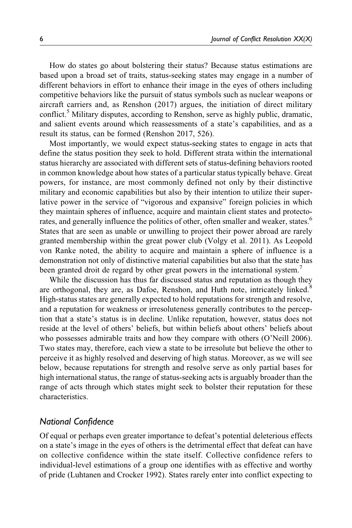How do states go about bolstering their status? Because status estimations are based upon a broad set of traits, status-seeking states may engage in a number of different behaviors in effort to enhance their image in the eyes of others including competitive behaviors like the pursuit of status symbols such as nuclear weapons or aircraft carriers and, as Renshon (2017) argues, the initiation of direct military conflict.<sup>5</sup> Military disputes, according to Renshon, serve as highly public, dramatic, and salient events around which reassessments of a state's capabilities, and as a result its status, can be formed (Renshon 2017, 526).

Most importantly, we would expect status-seeking states to engage in acts that define the status position they seek to hold. Different strata within the international status hierarchy are associated with different sets of status-defining behaviors rooted in common knowledge about how states of a particular status typically behave. Great powers, for instance, are most commonly defined not only by their distinctive military and economic capabilities but also by their intention to utilize their superlative power in the service of "vigorous and expansive" foreign policies in which they maintain spheres of influence, acquire and maintain client states and protectorates, and generally influence the politics of other, often smaller and weaker, states.<sup>6</sup> States that are seen as unable or unwilling to project their power abroad are rarely granted membership within the great power club (Volgy et al. 2011). As Leopold von Ranke noted, the ability to acquire and maintain a sphere of influence is a demonstration not only of distinctive material capabilities but also that the state has been granted droit de regard by other great powers in the international system.<sup>7</sup>

While the discussion has thus far discussed status and reputation as though they are orthogonal, they are, as Dafoe, Renshon, and Huth note, intricately linked.<sup>8</sup> High-status states are generally expected to hold reputations for strength and resolve, and a reputation for weakness or irresoluteness generally contributes to the perception that a state's status is in decline. Unlike reputation, however, status does not reside at the level of others' beliefs, but within beliefs about others' beliefs about who possesses admirable traits and how they compare with others (O'Neill 2006). Two states may, therefore, each view a state to be irresolute but believe the other to perceive it as highly resolved and deserving of high status. Moreover, as we will see below, because reputations for strength and resolve serve as only partial bases for high international status, the range of status-seeking acts is arguably broader than the range of acts through which states might seek to bolster their reputation for these characteristics.

## National Confidence

Of equal or perhaps even greater importance to defeat's potential deleterious effects on a state's image in the eyes of others is the detrimental effect that defeat can have on collective confidence within the state itself. Collective confidence refers to individual-level estimations of a group one identifies with as effective and worthy of pride (Luhtanen and Crocker 1992). States rarely enter into conflict expecting to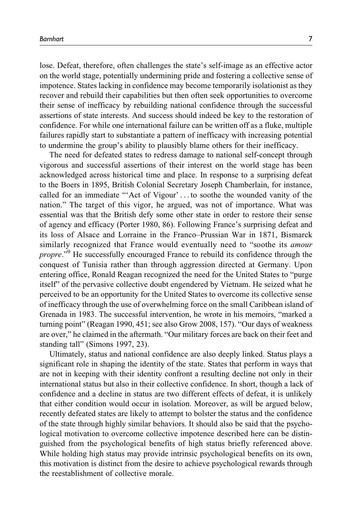lose. Defeat, therefore, often challenges the state's self-image as an effective actor on the world stage, potentially undermining pride and fostering a collective sense of impotence. States lacking in confidence may become temporarily isolationist as they recover and rebuild their capabilities but then often seek opportunities to overcome their sense of inefficacy by rebuilding national confidence through the successful assertions of state interests. And success should indeed be key to the restoration of confidence. For while one international failure can be written off as a fluke, multiple failures rapidly start to substantiate a pattern of inefficacy with increasing potential to undermine the group's ability to plausibly blame others for their inefficacy.

The need for defeated states to redress damage to national self-concept through vigorous and successful assertions of their interest on the world stage has been acknowledged across historical time and place. In response to a surprising defeat to the Boers in 1895, British Colonial Secretary Joseph Chamberlain, for instance, called for an immediate "'Act of Vigour' ... to soothe the wounded vanity of the nation." The target of this vigor, he argued, was not of importance. What was essential was that the British defy some other state in order to restore their sense of agency and efficacy (Porter 1980, 86). Following France's surprising defeat and its loss of Alsace and Lorraine in the Franco–Prussian War in 1871, Bismarck similarly recognized that France would eventually need to "soothe its *amour* propre."<sup>9</sup> He successfully encouraged France to rebuild its confidence through the conquest of Tunisia rather than through aggression directed at Germany. Upon entering office, Ronald Reagan recognized the need for the United States to "purge itself" of the pervasive collective doubt engendered by Vietnam. He seized what he perceived to be an opportunity for the United States to overcome its collective sense of inefficacy through the use of overwhelming force on the small Caribbean island of Grenada in 1983. The successful intervention, he wrote in his memoirs, "marked a turning point" (Reagan 1990, 451; see also Grow 2008, 157). "Our days of weakness are over," he claimed in the aftermath. "Our military forces are back on their feet and standing tall" (Simons 1997, 23).

Ultimately, status and national confidence are also deeply linked. Status plays a significant role in shaping the identity of the state. States that perform in ways that are not in keeping with their identity confront a resulting decline not only in their international status but also in their collective confidence. In short, though a lack of confidence and a decline in status are two different effects of defeat, it is unlikely that either condition would occur in isolation. Moreover, as will be argued below, recently defeated states are likely to attempt to bolster the status and the confidence of the state through highly similar behaviors. It should also be said that the psychological motivation to overcome collective impotence described here can be distinguished from the psychological benefits of high status briefly referenced above. While holding high status may provide intrinsic psychological benefits on its own, this motivation is distinct from the desire to achieve psychological rewards through the reestablishment of collective morale.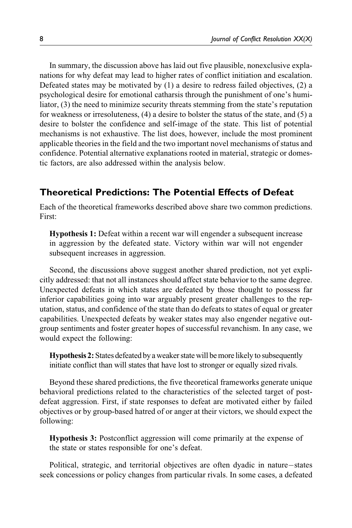In summary, the discussion above has laid out five plausible, nonexclusive explanations for why defeat may lead to higher rates of conflict initiation and escalation. Defeated states may be motivated by (1) a desire to redress failed objectives, (2) a psychological desire for emotional catharsis through the punishment of one's humiliator, (3) the need to minimize security threats stemming from the state's reputation for weakness or irresoluteness, (4) a desire to bolster the status of the state, and (5) a desire to bolster the confidence and self-image of the state. This list of potential mechanisms is not exhaustive. The list does, however, include the most prominent applicable theories in the field and the two important novel mechanisms of status and confidence. Potential alternative explanations rooted in material, strategic or domestic factors, are also addressed within the analysis below.

# Theoretical Predictions: The Potential Effects of Defeat

Each of the theoretical frameworks described above share two common predictions. First:

Hypothesis 1: Defeat within a recent war will engender a subsequent increase in aggression by the defeated state. Victory within war will not engender subsequent increases in aggression.

Second, the discussions above suggest another shared prediction, not yet explicitly addressed: that not all instances should affect state behavior to the same degree. Unexpected defeats in which states are defeated by those thought to possess far inferior capabilities going into war arguably present greater challenges to the reputation, status, and confidence of the state than do defeats to states of equal or greater capabilities. Unexpected defeats by weaker states may also engender negative outgroup sentiments and foster greater hopes of successful revanchism. In any case, we would expect the following:

**Hypothesis 2:** States defeated by a weaker state will be more likely to subsequently initiate conflict than will states that have lost to stronger or equally sized rivals.

Beyond these shared predictions, the five theoretical frameworks generate unique behavioral predictions related to the characteristics of the selected target of postdefeat aggression. First, if state responses to defeat are motivated either by failed objectives or by group-based hatred of or anger at their victors, we should expect the following:

Hypothesis 3: Postconflict aggression will come primarily at the expense of the state or states responsible for one's defeat.

Political, strategic, and territorial objectives are often dyadic in nature-states seek concessions or policy changes from particular rivals. In some cases, a defeated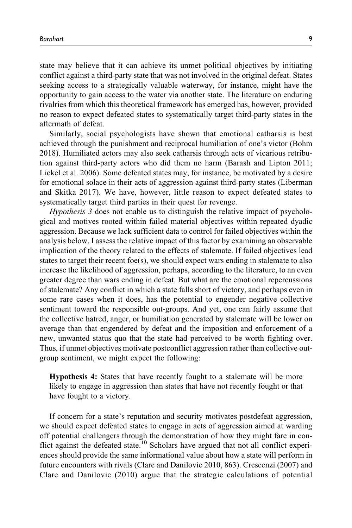state may believe that it can achieve its unmet political objectives by initiating conflict against a third-party state that was not involved in the original defeat. States seeking access to a strategically valuable waterway, for instance, might have the opportunity to gain access to the water via another state. The literature on enduring rivalries from which this theoretical framework has emerged has, however, provided no reason to expect defeated states to systematically target third-party states in the aftermath of defeat.

Similarly, social psychologists have shown that emotional catharsis is best achieved through the punishment and reciprocal humiliation of one's victor (Bohm 2018). Humiliated actors may also seek catharsis through acts of vicarious retribution against third-party actors who did them no harm (Barash and Lipton 2011; Lickel et al. 2006). Some defeated states may, for instance, be motivated by a desire for emotional solace in their acts of aggression against third-party states (Liberman and Skitka 2017). We have, however, little reason to expect defeated states to systematically target third parties in their quest for revenge.

Hypothesis 3 does not enable us to distinguish the relative impact of psychological and motives rooted within failed material objectives within repeated dyadic aggression. Because we lack sufficient data to control for failed objectives within the analysis below, I assess the relative impact of this factor by examining an observable implication of the theory related to the effects of stalemate. If failed objectives lead states to target their recent foe(s), we should expect wars ending in stalemate to also increase the likelihood of aggression, perhaps, according to the literature, to an even greater degree than wars ending in defeat. But what are the emotional repercussions of stalemate? Any conflict in which a state falls short of victory, and perhaps even in some rare cases when it does, has the potential to engender negative collective sentiment toward the responsible out-groups. And yet, one can fairly assume that the collective hatred, anger, or humiliation generated by stalemate will be lower on average than that engendered by defeat and the imposition and enforcement of a new, unwanted status quo that the state had perceived to be worth fighting over. Thus, if unmet objectives motivate postconflict aggression rather than collective outgroup sentiment, we might expect the following:

Hypothesis 4: States that have recently fought to a stalemate will be more likely to engage in aggression than states that have not recently fought or that have fought to a victory.

If concern for a state's reputation and security motivates postdefeat aggression, we should expect defeated states to engage in acts of aggression aimed at warding off potential challengers through the demonstration of how they might fare in conflict against the defeated state.<sup>10</sup> Scholars have argued that not all conflict experiences should provide the same informational value about how a state will perform in future encounters with rivals (Clare and Danilovic 2010, 863). Crescenzi (2007) and Clare and Danilovic (2010) argue that the strategic calculations of potential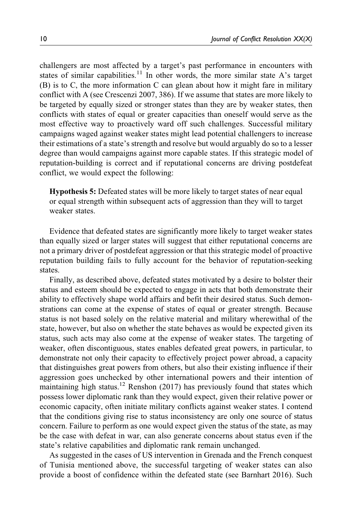challengers are most affected by a target's past performance in encounters with states of similar capabilities.<sup>11</sup> In other words, the more similar state A's target (B) is to C, the more information C can glean about how it might fare in military conflict with A (see Crescenzi 2007, 386). If we assume that states are more likely to be targeted by equally sized or stronger states than they are by weaker states, then conflicts with states of equal or greater capacities than oneself would serve as the most effective way to proactively ward off such challenges. Successful military campaigns waged against weaker states might lead potential challengers to increase their estimations of a state's strength and resolve but would arguably do so to a lesser degree than would campaigns against more capable states. If this strategic model of reputation-building is correct and if reputational concerns are driving postdefeat conflict, we would expect the following:

Hypothesis 5: Defeated states will be more likely to target states of near equal or equal strength within subsequent acts of aggression than they will to target weaker states.

Evidence that defeated states are significantly more likely to target weaker states than equally sized or larger states will suggest that either reputational concerns are not a primary driver of postdefeat aggression or that this strategic model of proactive reputation building fails to fully account for the behavior of reputation-seeking states.

Finally, as described above, defeated states motivated by a desire to bolster their status and esteem should be expected to engage in acts that both demonstrate their ability to effectively shape world affairs and befit their desired status. Such demonstrations can come at the expense of states of equal or greater strength. Because status is not based solely on the relative material and military wherewithal of the state, however, but also on whether the state behaves as would be expected given its status, such acts may also come at the expense of weaker states. The targeting of weaker, often discontiguous, states enables defeated great powers, in particular, to demonstrate not only their capacity to effectively project power abroad, a capacity that distinguishes great powers from others, but also their existing influence if their aggression goes unchecked by other international powers and their intention of maintaining high status.<sup>12</sup> Renshon (2017) has previously found that states which possess lower diplomatic rank than they would expect, given their relative power or economic capacity, often initiate military conflicts against weaker states. I contend that the conditions giving rise to status inconsistency are only one source of status concern. Failure to perform as one would expect given the status of the state, as may be the case with defeat in war, can also generate concerns about status even if the state's relative capabilities and diplomatic rank remain unchanged.

As suggested in the cases of US intervention in Grenada and the French conquest of Tunisia mentioned above, the successful targeting of weaker states can also provide a boost of confidence within the defeated state (see Barnhart 2016). Such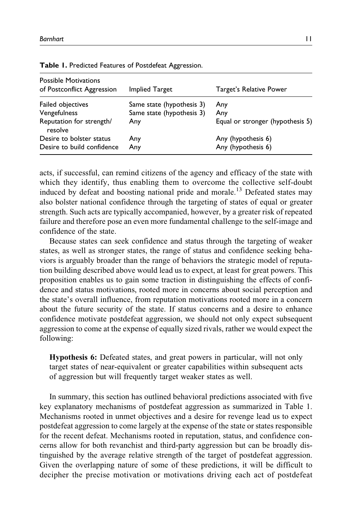| <b>Possible Motivations</b><br>of Postconflict Aggression | <b>Implied Target</b>                                  | Target's Relative Power          |
|-----------------------------------------------------------|--------------------------------------------------------|----------------------------------|
| Failed objectives<br>Vengefulness                         | Same state (hypothesis 3)<br>Same state (hypothesis 3) | Any<br>Any                       |
| Reputation for strength/<br>resolve                       | Any                                                    | Equal or stronger (hypothesis 5) |
| Desire to bolster status                                  | Any                                                    | Any (hypothesis 6)               |
| Desire to build confidence                                | Any                                                    | Any (hypothesis 6)               |

Table 1. Predicted Features of Postdefeat Aggression.

acts, if successful, can remind citizens of the agency and efficacy of the state with which they identify, thus enabling them to overcome the collective self-doubt induced by defeat and boosting national pride and morale.<sup>13</sup> Defeated states may also bolster national confidence through the targeting of states of equal or greater strength. Such acts are typically accompanied, however, by a greater risk of repeated failure and therefore pose an even more fundamental challenge to the self-image and confidence of the state.

Because states can seek confidence and status through the targeting of weaker states, as well as stronger states, the range of status and confidence seeking behaviors is arguably broader than the range of behaviors the strategic model of reputation building described above would lead us to expect, at least for great powers. This proposition enables us to gain some traction in distinguishing the effects of confidence and status motivations, rooted more in concerns about social perception and the state's overall influence, from reputation motivations rooted more in a concern about the future security of the state. If status concerns and a desire to enhance confidence motivate postdefeat aggression, we should not only expect subsequent aggression to come at the expense of equally sized rivals, rather we would expect the following:

Hypothesis 6: Defeated states, and great powers in particular, will not only target states of near-equivalent or greater capabilities within subsequent acts of aggression but will frequently target weaker states as well.

In summary, this section has outlined behavioral predictions associated with five key explanatory mechanisms of postdefeat aggression as summarized in Table 1. Mechanisms rooted in unmet objectives and a desire for revenge lead us to expect postdefeat aggression to come largely at the expense of the state or states responsible for the recent defeat. Mechanisms rooted in reputation, status, and confidence concerns allow for both revanchist and third-party aggression but can be broadly distinguished by the average relative strength of the target of postdefeat aggression. Given the overlapping nature of some of these predictions, it will be difficult to decipher the precise motivation or motivations driving each act of postdefeat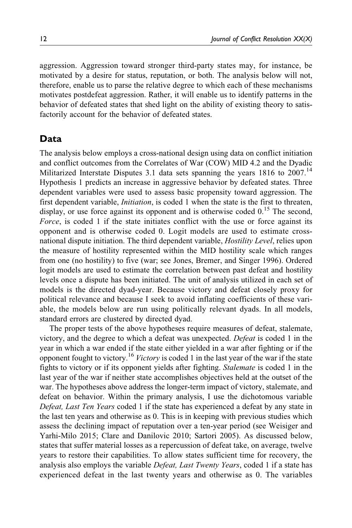aggression. Aggression toward stronger third-party states may, for instance, be motivated by a desire for status, reputation, or both. The analysis below will not, therefore, enable us to parse the relative degree to which each of these mechanisms motivates postdefeat aggression. Rather, it will enable us to identify patterns in the behavior of defeated states that shed light on the ability of existing theory to satisfactorily account for the behavior of defeated states.

# Data

The analysis below employs a cross-national design using data on conflict initiation and conflict outcomes from the Correlates of War (COW) MID 4.2 and the Dyadic Militarized Interstate Disputes 3.1 data sets spanning the years 1816 to 2007.<sup>14</sup> Hypothesis 1 predicts an increase in aggressive behavior by defeated states. Three dependent variables were used to assess basic propensity toward aggression. The first dependent variable, *Initiation*, is coded 1 when the state is the first to threaten, display, or use force against its opponent and is otherwise coded 0.<sup>15</sup> The second, Force, is coded 1 if the state initiates conflict with the use or force against its opponent and is otherwise coded 0. Logit models are used to estimate crossnational dispute initiation. The third dependent variable, Hostility Level, relies upon the measure of hostility represented within the MID hostility scale which ranges from one (no hostility) to five (war; see Jones, Bremer, and Singer 1996). Ordered logit models are used to estimate the correlation between past defeat and hostility levels once a dispute has been initiated. The unit of analysis utilized in each set of models is the directed dyad-year. Because victory and defeat closely proxy for political relevance and because I seek to avoid inflating coefficients of these variable, the models below are run using politically relevant dyads. In all models, standard errors are clustered by directed dyad.

The proper tests of the above hypotheses require measures of defeat, stalemate, victory, and the degree to which a defeat was unexpected. Defeat is coded 1 in the year in which a war ended if the state either yielded in a war after fighting or if the opponent fought to victory.<sup>16</sup> Victory is coded 1 in the last year of the war if the state fights to victory or if its opponent yields after fighting. Stalemate is coded 1 in the last year of the war if neither state accomplishes objectives held at the outset of the war. The hypotheses above address the longer-term impact of victory, stalemate, and defeat on behavior. Within the primary analysis, I use the dichotomous variable Defeat, Last Ten Years coded 1 if the state has experienced a defeat by any state in the last ten years and otherwise as 0. This is in keeping with previous studies which assess the declining impact of reputation over a ten-year period (see Weisiger and Yarhi-Milo 2015; Clare and Danilovic 2010; Sartori 2005). As discussed below, states that suffer material losses as a repercussion of defeat take, on average, twelve years to restore their capabilities. To allow states sufficient time for recovery, the analysis also employs the variable *Defeat, Last Twenty Years*, coded 1 if a state has experienced defeat in the last twenty years and otherwise as 0. The variables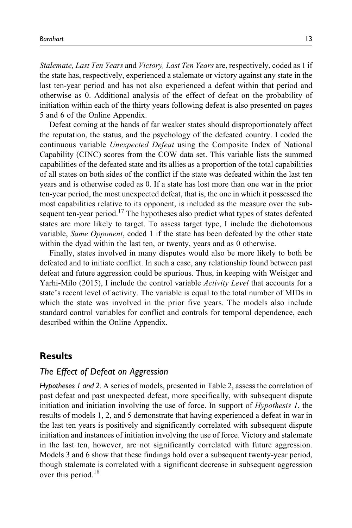Stalemate, Last Ten Years and Victory, Last Ten Years are, respectively, coded as 1 if the state has, respectively, experienced a stalemate or victory against any state in the last ten-year period and has not also experienced a defeat within that period and otherwise as 0. Additional analysis of the effect of defeat on the probability of initiation within each of the thirty years following defeat is also presented on pages 5 and 6 of the Online Appendix.

Defeat coming at the hands of far weaker states should disproportionately affect the reputation, the status, and the psychology of the defeated country. I coded the continuous variable Unexpected Defeat using the Composite Index of National Capability (CINC) scores from the COW data set. This variable lists the summed capabilities of the defeated state and its allies as a proportion of the total capabilities of all states on both sides of the conflict if the state was defeated within the last ten years and is otherwise coded as 0. If a state has lost more than one war in the prior ten-year period, the most unexpected defeat, that is, the one in which it possessed the most capabilities relative to its opponent, is included as the measure over the subsequent ten-year period.<sup>17</sup> The hypotheses also predict what types of states defeated states are more likely to target. To assess target type, I include the dichotomous variable, Same Opponent, coded 1 if the state has been defeated by the other state within the dyad within the last ten, or twenty, years and as 0 otherwise.

Finally, states involved in many disputes would also be more likely to both be defeated and to initiate conflict. In such a case, any relationship found between past defeat and future aggression could be spurious. Thus, in keeping with Weisiger and Yarhi-Milo (2015), I include the control variable Activity Level that accounts for a state's recent level of activity. The variable is equal to the total number of MIDs in which the state was involved in the prior five years. The models also include standard control variables for conflict and controls for temporal dependence, each described within the Online Appendix.

# **Results**

# The Effect of Defeat on Aggression

Hypotheses 1 and 2. A series of models, presented in Table 2, assess the correlation of past defeat and past unexpected defeat, more specifically, with subsequent dispute initiation and initiation involving the use of force. In support of Hypothesis 1, the results of models 1, 2, and 5 demonstrate that having experienced a defeat in war in the last ten years is positively and significantly correlated with subsequent dispute initiation and instances of initiation involving the use of force. Victory and stalemate in the last ten, however, are not significantly correlated with future aggression. Models 3 and 6 show that these findings hold over a subsequent twenty-year period, though stalemate is correlated with a significant decrease in subsequent aggression over this period.<sup>18</sup>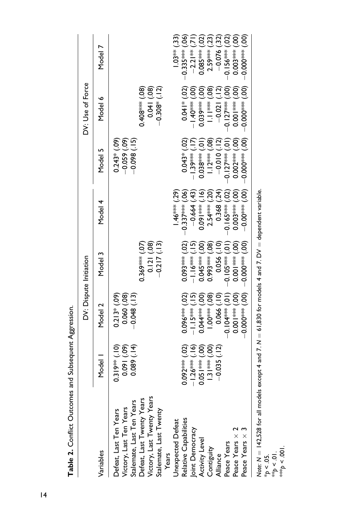|                                                                                                                                                                     |                                                      |                                                                                                                                                                                                                                                                                                                             | DV: Dispute Initiation                                                                                                                                                                                                                                                                                              |                                            |                                                    | DV: Use of Force                                  |                                                             |
|---------------------------------------------------------------------------------------------------------------------------------------------------------------------|------------------------------------------------------|-----------------------------------------------------------------------------------------------------------------------------------------------------------------------------------------------------------------------------------------------------------------------------------------------------------------------------|---------------------------------------------------------------------------------------------------------------------------------------------------------------------------------------------------------------------------------------------------------------------------------------------------------------------|--------------------------------------------|----------------------------------------------------|---------------------------------------------------|-------------------------------------------------------------|
| /ariables                                                                                                                                                           | Model                                                | Model 2                                                                                                                                                                                                                                                                                                                     | Model 3                                                                                                                                                                                                                                                                                                             | Model 4                                    | Model 5                                            | Model 6                                           | Model                                                       |
| Defeat, Last Twenty Years<br>Victory, Last Twenty Years<br>Victory, Last Ten Years<br>Stalemate, Last Ten Years<br>Defeat, Last Ten Years<br>Stalemate, Last Twenty | $0.319***$ (.10)<br>$\sum$<br>$(60)$ $1600$<br>0.089 | $0.213*(.09)$<br>0.060(0.08)<br>$-0.048(.13)$                                                                                                                                                                                                                                                                               | 0.121(08)<br>$-0.217(13)$<br>$0.369***$ (.07)                                                                                                                                                                                                                                                                       |                                            | $-0.059(09)$<br>(15)<br>$0.243*$ (.09)<br>$-0.098$ | $0.408***(0.08)$<br>$-0.308^*$ (.12)<br>0.041(08) |                                                             |
| Jnexpected Defeat<br>Years                                                                                                                                          |                                                      |                                                                                                                                                                                                                                                                                                                             |                                                                                                                                                                                                                                                                                                                     | $1.46***$ (.29)                            |                                                    |                                                   | $1.03**$ (.33)                                              |
| Relative Capabilities                                                                                                                                               | $0.092***$ (.02)<br>$-1.26***$                       | $0.096***$ (.02)<br><u>ری</u><br>ب<br>$-1.15***$                                                                                                                                                                                                                                                                            | $0.093***$ (.02)                                                                                                                                                                                                                                                                                                    | $-0.337***$ (.06)<br><u>(4</u><br>$-0.664$ | $0.043*$<br>$-1.39***$                             | $0.041*02$<br>ဒ္မ<br>$ +$                         | $-0.335***$ (.06)<br>$-2.21**$                              |
| Joint Democracy<br>Activity Level<br>Contiguity                                                                                                                     | $1.31*** (00)$<br>$0.051***$ (.00)                   | ဒ္ပြ<br>මි<br>$0.044***$<br>$1.00***$                                                                                                                                                                                                                                                                                       | ဒ္ပြ<br>80<br>$0.045***$<br>$0.993***$                                                                                                                                                                                                                                                                              | ٶ<br>$2.54***$<br>$0.091***$               | ළි<br>ē<br>$0.038***$<br>$12***$                   | (98)<br>င္ပြ<br>$0.03***$<br>$\frac{1}{2}$        | (23)<br>$\widetilde{\mathrm{S}}$<br>$0.085***$<br>$2.59***$ |
| Alliance                                                                                                                                                            | $-0.035(12)$                                         | io<br>C<br>0.066                                                                                                                                                                                                                                                                                                            | 0.056                                                                                                                                                                                                                                                                                                               | $\widetilde{A}$<br>0.368                   | <u>์ลุ่</u><br>$-0.010$                            | <u>์ วั</u><br>$-0.021$                           | $-0.076$ (.32)                                              |
| Peace Years                                                                                                                                                         |                                                      | - 0.101 *** <del>γ</del> σ = σ =                                                                                                                                                                                                                                                                                            | ē<br>$-0.105***$                                                                                                                                                                                                                                                                                                    | වූ<br>$-0.165***$                          | ē<br>$-0.127***$                                   | ဒ္မ<br>$-0.127***$                                | ່ອີ<br>$0.156***$                                           |
| Peace Years $\times$                                                                                                                                                |                                                      | ဒ္ပြ<br>$ \frac{1}{2}$ $\frac{1}{2}$ $\frac{1}{2}$ $\frac{1}{2}$ $\frac{1}{2}$ $\frac{1}{2}$ $\frac{1}{2}$ $\frac{1}{2}$ $\frac{1}{2}$ $\frac{1}{2}$ $\frac{1}{2}$ $\frac{1}{2}$ $\frac{1}{2}$ $\frac{1}{2}$ $\frac{1}{2}$ $\frac{1}{2}$ $\frac{1}{2}$ $\frac{1}{2}$ $\frac{1}{2}$ $\frac{1}{2}$ $\frac{1}{2}$ $\frac{1}{2$ | $ \frac{1}{2}$ $\frac{1}{2}$ $\frac{1}{2}$ $\frac{1}{2}$ $\frac{1}{2}$ $\frac{1}{2}$ $\frac{1}{2}$ $\frac{1}{2}$ $\frac{1}{2}$ $\frac{1}{2}$ $\frac{1}{2}$ $\frac{1}{2}$ $\frac{1}{2}$ $\frac{1}{2}$ $\frac{1}{2}$ $\frac{1}{2}$ $\frac{1}{2}$ $\frac{1}{2}$ $\frac{1}{2}$ $\frac{1}{2}$ $\frac{1}{2}$ $\frac{1}{2$ | ခြွ<br>$0.003***$                          | ලි<br>$0.002***$                                   | $0.001***(00)$                                    | S<br>$0.003***$                                             |
| Peace Years $\times$                                                                                                                                                |                                                      | $-0.000$ $+800$ $-0.000$                                                                                                                                                                                                                                                                                                    | <u>၉</u><br>- ***0000-0-                                                                                                                                                                                                                                                                                            | <u>ල</u><br>$-0.00^{***}$                  | දි<br>$0.000**$                                    | $0.000*8000$                                      | <u>(30)</u><br>$0.000**$                                    |
|                                                                                                                                                                     |                                                      |                                                                                                                                                                                                                                                                                                                             |                                                                                                                                                                                                                                                                                                                     |                                            |                                                    |                                                   |                                                             |

Table 2. Conflict Outcomes and Subsequent Aggression. Table 2. Conflict Outcomes and Subsequent Aggression.

Note: N  $=$  142,528 for all models except 4 and 7. N  $=$  61,830 for models 4 and 7. DV  $=$  dependent variable.

\*p < .05. \*\*p < .01.

\*\*\*p < .001.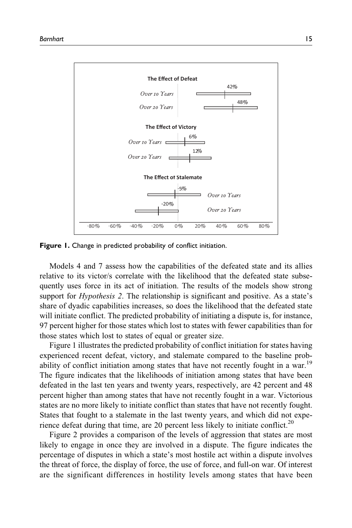

Figure 1. Change in predicted probability of conflict initiation.

Models 4 and 7 assess how the capabilities of the defeated state and its allies relative to its victor/s correlate with the likelihood that the defeated state subsequently uses force in its act of initiation. The results of the models show strong support for *Hypothesis 2*. The relationship is significant and positive. As a state's share of dyadic capabilities increases, so does the likelihood that the defeated state will initiate conflict. The predicted probability of initiating a dispute is, for instance, 97 percent higher for those states which lost to states with fewer capabilities than for those states which lost to states of equal or greater size.

Figure 1 illustrates the predicted probability of conflict initiation for states having experienced recent defeat, victory, and stalemate compared to the baseline probability of conflict initiation among states that have not recently fought in a war.<sup>19</sup> The figure indicates that the likelihoods of initiation among states that have been defeated in the last ten years and twenty years, respectively, are 42 percent and 48 percent higher than among states that have not recently fought in a war. Victorious states are no more likely to initiate conflict than states that have not recently fought. States that fought to a stalemate in the last twenty years, and which did not experience defeat during that time, are 20 percent less likely to initiate conflict.<sup>20</sup>

Figure 2 provides a comparison of the levels of aggression that states are most likely to engage in once they are involved in a dispute. The figure indicates the percentage of disputes in which a state's most hostile act within a dispute involves the threat of force, the display of force, the use of force, and full-on war. Of interest are the significant differences in hostility levels among states that have been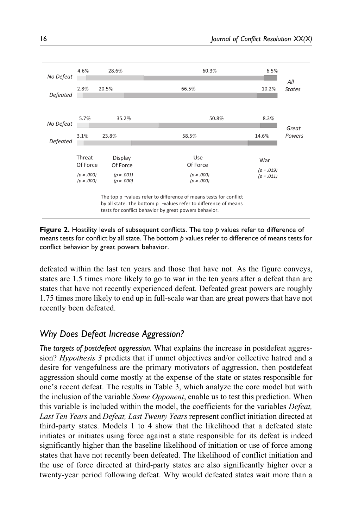

**Figure 2.** Hostility levels of subsequent conflicts. The top p values refer to difference of means tests for conflict by all state. The bottom p values refer to difference of means tests for conflict behavior by great powers behavior.

defeated within the last ten years and those that have not. As the figure conveys, states are 1.5 times more likely to go to war in the ten years after a defeat than are states that have not recently experienced defeat. Defeated great powers are roughly 1.75 times more likely to end up in full-scale war than are great powers that have not recently been defeated.

# Why Does Defeat Increase Aggression?

The targets of postdefeat aggression. What explains the increase in postdefeat aggression? Hypothesis 3 predicts that if unmet objectives and/or collective hatred and a desire for vengefulness are the primary motivators of aggression, then postdefeat aggression should come mostly at the expense of the state or states responsible for one's recent defeat. The results in Table 3, which analyze the core model but with the inclusion of the variable Same Opponent, enable us to test this prediction. When this variable is included within the model, the coefficients for the variables Defeat, Last Ten Years and Defeat, Last Twenty Years represent conflict initiation directed at third-party states. Models 1 to 4 show that the likelihood that a defeated state initiates or initiates using force against a state responsible for its defeat is indeed significantly higher than the baseline likelihood of initiation or use of force among states that have not recently been defeated. The likelihood of conflict initiation and the use of force directed at third-party states are also significantly higher over a twenty-year period following defeat. Why would defeated states wait more than a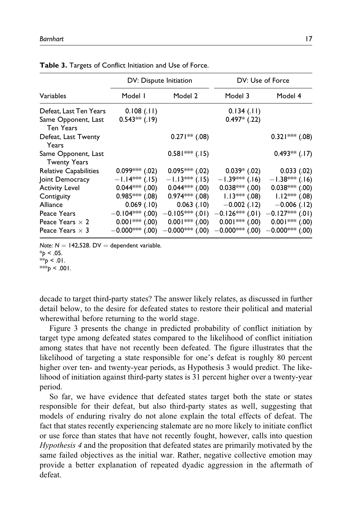|                                         |                     | DV: Dispute Initiation |                                        | DV: Use of Force                    |
|-----------------------------------------|---------------------|------------------------|----------------------------------------|-------------------------------------|
| Variables                               | Model I             | Model 2                | Model 3                                | Model 4                             |
| Defeat, Last Ten Years                  | 0.108(.11)          |                        | 0.134(.11)                             |                                     |
| Same Opponent, Last<br><b>Ten Years</b> | $0.543**$ (.19)     |                        | $0.497*$ (.22)                         |                                     |
| Defeat, Last Twenty<br>Years            |                     | $0.271**$ (.08)        |                                        | $0.321***$ (.08)                    |
| Same Opponent, Last                     |                     | $0.581***$ (.15)       |                                        | $0.493**$ (.17)                     |
| <b>Twenty Years</b>                     |                     |                        |                                        |                                     |
| <b>Relative Capabilities</b>            | $0.099***$ (.02)    | $0.095***(02)$         | $0.039*$ (.02)                         | 0.033(0.02)                         |
| Joint Democracy                         | $-1.14***$ (.15)    | $-1.13***$ (.15)       | $-1.39***$ (.16)                       | $-1.38***$ (.16)                    |
| <b>Activity Level</b>                   | $0.044***$ (.00)    | 0.044*** (.00)         | $0.038***$ (.00)                       | $0.038***$ (.00)                    |
| Contiguity                              | $0.985***$ (.08)    |                        | $0.974^{***}$ (.08) $1.13^{***}$ (.08) | $1.12***$ (.08)                     |
| Alliance                                | $0.069$ $(.10)$     |                        | $0.063$ (.10) $-0.002$ (.12)           | $-0.006$ (.12)                      |
| Peace Years                             | $-0.104***$ (.00)   | $-0.105***$ (.01)      |                                        | $-0.126$ ** (.01) $-0.127$ ** (.01) |
| Peace Years $\times$ 2                  | $0.001$ *** $(.00)$ | $0.001***$ (.00)       | $0.001***$ (.00)                       | $0.001***$ (.00)                    |
| Peace Years $\times$ 3                  | $-0.000$ *** (.00)  | $-0.000$ *** (.00)     | $-0.000$ *** (.00)                     | $-0.000$ *** (.00)                  |

| Table 3. Targets of Conflict Initiation and Use of Force. |  |  |
|-----------------------------------------------------------|--|--|
|-----------------------------------------------------------|--|--|

Note:  $N = 142,528$ . DV = dependent variable.

\*\*\*p < .001.

decade to target third-party states? The answer likely relates, as discussed in further detail below, to the desire for defeated states to restore their political and material wherewithal before returning to the world stage.

Figure 3 presents the change in predicted probability of conflict initiation by target type among defeated states compared to the likelihood of conflict initiation among states that have not recently been defeated. The figure illustrates that the likelihood of targeting a state responsible for one's defeat is roughly 80 percent higher over ten- and twenty-year periods, as Hypothesis 3 would predict. The likelihood of initiation against third-party states is 31 percent higher over a twenty-year period.

So far, we have evidence that defeated states target both the state or states responsible for their defeat, but also third-party states as well, suggesting that models of enduring rivalry do not alone explain the total effects of defeat. The fact that states recently experiencing stalemate are no more likely to initiate conflict or use force than states that have not recently fought, however, calls into question Hypothesis 4 and the proposition that defeated states are primarily motivated by the same failed objectives as the initial war. Rather, negative collective emotion may provide a better explanation of repeated dyadic aggression in the aftermath of defeat.

 $*_{p}$  < .05.  $*_{p}$  < .01.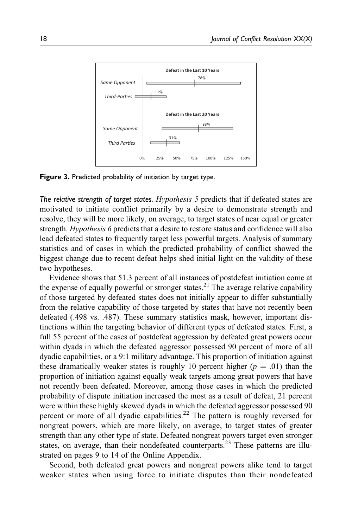

Figure 3. Predicted probability of initiation by target type.

The relative strength of target states.  $Hypothesis 5$  predicts that if defeated states are motivated to initiate conflict primarily by a desire to demonstrate strength and resolve, they will be more likely, on average, to target states of near equal or greater strength. Hypothesis 6 predicts that a desire to restore status and confidence will also lead defeated states to frequently target less powerful targets. Analysis of summary statistics and of cases in which the predicted probability of conflict showed the biggest change due to recent defeat helps shed initial light on the validity of these two hypotheses.

Evidence shows that 51.3 percent of all instances of postdefeat initiation come at the expense of equally powerful or stronger states.<sup>21</sup> The average relative capability of those targeted by defeated states does not initially appear to differ substantially from the relative capability of those targeted by states that have not recently been defeated (.498 vs. .487). These summary statistics mask, however, important distinctions within the targeting behavior of different types of defeated states. First, a full 55 percent of the cases of postdefeat aggression by defeated great powers occur within dyads in which the defeated aggressor possessed 90 percent of more of all dyadic capabilities, or a 9:1 military advantage. This proportion of initiation against these dramatically weaker states is roughly 10 percent higher ( $p = .01$ ) than the proportion of initiation against equally weak targets among great powers that have not recently been defeated. Moreover, among those cases in which the predicted probability of dispute initiation increased the most as a result of defeat, 21 percent were within these highly skewed dyads in which the defeated aggressor possessed 90 percent or more of all dyadic capabilities.<sup>22</sup> The pattern is roughly reversed for nongreat powers, which are more likely, on average, to target states of greater strength than any other type of state. Defeated nongreat powers target even stronger states, on average, than their nondefeated counterparts.<sup>23</sup> These patterns are illustrated on pages 9 to 14 of the Online Appendix.

Second, both defeated great powers and nongreat powers alike tend to target weaker states when using force to initiate disputes than their nondefeated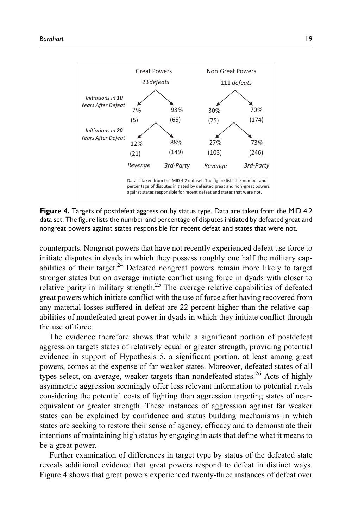

Figure 4. Targets of postdefeat aggression by status type. Data are taken from the MID 4.2 data set. The figure lists the number and percentage of disputes initiated by defeated great and nongreat powers against states responsible for recent defeat and states that were not.

counterparts. Nongreat powers that have not recently experienced defeat use force to initiate disputes in dyads in which they possess roughly one half the military capabilities of their target. $^{24}$  Defeated nongreat powers remain more likely to target stronger states but on average initiate conflict using force in dyads with closer to relative parity in military strength.<sup>25</sup> The average relative capabilities of defeated great powers which initiate conflict with the use of force after having recovered from any material losses suffered in defeat are 22 percent higher than the relative capabilities of nondefeated great power in dyads in which they initiate conflict through the use of force.

The evidence therefore shows that while a significant portion of postdefeat aggression targets states of relatively equal or greater strength, providing potential evidence in support of Hypothesis 5, a significant portion, at least among great powers, comes at the expense of far weaker states. Moreover, defeated states of all types select, on average, weaker targets than nondefeated states.<sup>26</sup> Acts of highly asymmetric aggression seemingly offer less relevant information to potential rivals considering the potential costs of fighting than aggression targeting states of nearequivalent or greater strength. These instances of aggression against far weaker states can be explained by confidence and status building mechanisms in which states are seeking to restore their sense of agency, efficacy and to demonstrate their intentions of maintaining high status by engaging in acts that define what it means to be a great power.

Further examination of differences in target type by status of the defeated state reveals additional evidence that great powers respond to defeat in distinct ways. Figure 4 shows that great powers experienced twenty-three instances of defeat over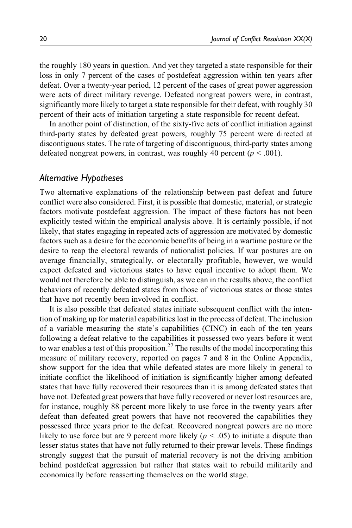the roughly 180 years in question. And yet they targeted a state responsible for their loss in only 7 percent of the cases of postdefeat aggression within ten years after defeat. Over a twenty-year period, 12 percent of the cases of great power aggression were acts of direct military revenge. Defeated nongreat powers were, in contrast, significantly more likely to target a state responsible for their defeat, with roughly 30 percent of their acts of initiation targeting a state responsible for recent defeat.

In another point of distinction, of the sixty-five acts of conflict initiation against third-party states by defeated great powers, roughly 75 percent were directed at discontiguous states. The rate of targeting of discontiguous, third-party states among defeated nongreat powers, in contrast, was roughly 40 percent ( $p < .001$ ).

## Alternative Hypotheses

Two alternative explanations of the relationship between past defeat and future conflict were also considered. First, it is possible that domestic, material, or strategic factors motivate postdefeat aggression. The impact of these factors has not been explicitly tested within the empirical analysis above. It is certainly possible, if not likely, that states engaging in repeated acts of aggression are motivated by domestic factors such as a desire for the economic benefits of being in a wartime posture or the desire to reap the electoral rewards of nationalist policies. If war postures are on average financially, strategically, or electorally profitable, however, we would expect defeated and victorious states to have equal incentive to adopt them. We would not therefore be able to distinguish, as we can in the results above, the conflict behaviors of recently defeated states from those of victorious states or those states that have not recently been involved in conflict.

It is also possible that defeated states initiate subsequent conflict with the intention of making up for material capabilities lost in the process of defeat. The inclusion of a variable measuring the state's capabilities (CINC) in each of the ten years following a defeat relative to the capabilities it possessed two years before it went to war enables a test of this proposition.<sup>27</sup> The results of the model incorporating this measure of military recovery, reported on pages 7 and 8 in the Online Appendix, show support for the idea that while defeated states are more likely in general to initiate conflict the likelihood of initiation is significantly higher among defeated states that have fully recovered their resources than it is among defeated states that have not. Defeated great powers that have fully recovered or never lost resources are, for instance, roughly 88 percent more likely to use force in the twenty years after defeat than defeated great powers that have not recovered the capabilities they possessed three years prior to the defeat. Recovered nongreat powers are no more likely to use force but are 9 percent more likely ( $p < .05$ ) to initiate a dispute than lesser status states that have not fully returned to their prewar levels. These findings strongly suggest that the pursuit of material recovery is not the driving ambition behind postdefeat aggression but rather that states wait to rebuild militarily and economically before reasserting themselves on the world stage.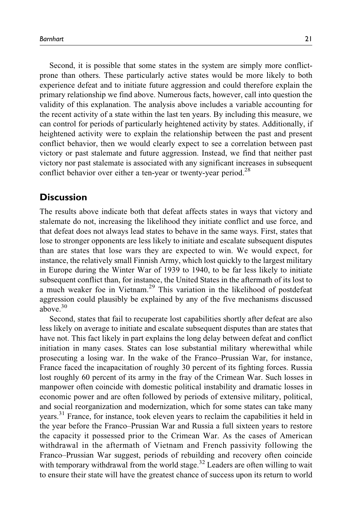Second, it is possible that some states in the system are simply more conflictprone than others. These particularly active states would be more likely to both experience defeat and to initiate future aggression and could therefore explain the primary relationship we find above. Numerous facts, however, call into question the validity of this explanation. The analysis above includes a variable accounting for the recent activity of a state within the last ten years. By including this measure, we can control for periods of particularly heightened activity by states. Additionally, if heightened activity were to explain the relationship between the past and present conflict behavior, then we would clearly expect to see a correlation between past victory or past stalemate and future aggression. Instead, we find that neither past victory nor past stalemate is associated with any significant increases in subsequent conflict behavior over either a ten-year or twenty-year period.<sup>28</sup>

## **Discussion**

The results above indicate both that defeat affects states in ways that victory and stalemate do not, increasing the likelihood they initiate conflict and use force, and that defeat does not always lead states to behave in the same ways. First, states that lose to stronger opponents are less likely to initiate and escalate subsequent disputes than are states that lose wars they are expected to win. We would expect, for instance, the relatively small Finnish Army, which lost quickly to the largest military in Europe during the Winter War of 1939 to 1940, to be far less likely to initiate subsequent conflict than, for instance, the United States in the aftermath of its lost to a much weaker foe in Vietnam.<sup>29</sup> This variation in the likelihood of postdefeat aggression could plausibly be explained by any of the five mechanisms discussed above. $30$ 

Second, states that fail to recuperate lost capabilities shortly after defeat are also less likely on average to initiate and escalate subsequent disputes than are states that have not. This fact likely in part explains the long delay between defeat and conflict initiation in many cases. States can lose substantial military wherewithal while prosecuting a losing war. In the wake of the Franco–Prussian War, for instance, France faced the incapacitation of roughly 30 percent of its fighting forces. Russia lost roughly 60 percent of its army in the fray of the Crimean War. Such losses in manpower often coincide with domestic political instability and dramatic losses in economic power and are often followed by periods of extensive military, political, and social reorganization and modernization, which for some states can take many years.31 France, for instance, took eleven years to reclaim the capabilities it held in the year before the Franco–Prussian War and Russia a full sixteen years to restore the capacity it possessed prior to the Crimean War. As the cases of American withdrawal in the aftermath of Vietnam and French passivity following the Franco–Prussian War suggest, periods of rebuilding and recovery often coincide with temporary withdrawal from the world stage. $32$  Leaders are often willing to wait to ensure their state will have the greatest chance of success upon its return to world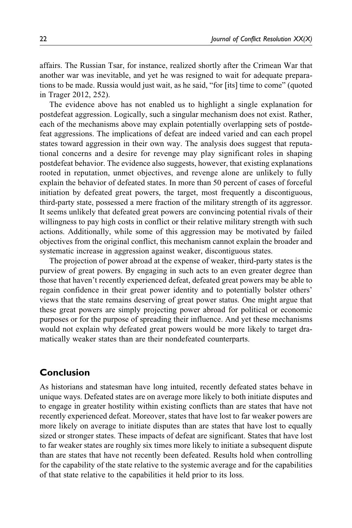affairs. The Russian Tsar, for instance, realized shortly after the Crimean War that another war was inevitable, and yet he was resigned to wait for adequate preparations to be made. Russia would just wait, as he said, "for [its] time to come" (quoted in Trager 2012, 252).

The evidence above has not enabled us to highlight a single explanation for postdefeat aggression. Logically, such a singular mechanism does not exist. Rather, each of the mechanisms above may explain potentially overlapping sets of postdefeat aggressions. The implications of defeat are indeed varied and can each propel states toward aggression in their own way. The analysis does suggest that reputational concerns and a desire for revenge may play significant roles in shaping postdefeat behavior. The evidence also suggests, however, that existing explanations rooted in reputation, unmet objectives, and revenge alone are unlikely to fully explain the behavior of defeated states. In more than 50 percent of cases of forceful initiation by defeated great powers, the target, most frequently a discontiguous, third-party state, possessed a mere fraction of the military strength of its aggressor. It seems unlikely that defeated great powers are convincing potential rivals of their willingness to pay high costs in conflict or their relative military strength with such actions. Additionally, while some of this aggression may be motivated by failed objectives from the original conflict, this mechanism cannot explain the broader and systematic increase in aggression against weaker, discontiguous states.

The projection of power abroad at the expense of weaker, third-party states is the purview of great powers. By engaging in such acts to an even greater degree than those that haven't recently experienced defeat, defeated great powers may be able to regain confidence in their great power identity and to potentially bolster others' views that the state remains deserving of great power status. One might argue that these great powers are simply projecting power abroad for political or economic purposes or for the purpose of spreading their influence. And yet these mechanisms would not explain why defeated great powers would be more likely to target dramatically weaker states than are their nondefeated counterparts.

# Conclusion

As historians and statesman have long intuited, recently defeated states behave in unique ways. Defeated states are on average more likely to both initiate disputes and to engage in greater hostility within existing conflicts than are states that have not recently experienced defeat. Moreover, states that have lost to far weaker powers are more likely on average to initiate disputes than are states that have lost to equally sized or stronger states. These impacts of defeat are significant. States that have lost to far weaker states are roughly six times more likely to initiate a subsequent dispute than are states that have not recently been defeated. Results hold when controlling for the capability of the state relative to the systemic average and for the capabilities of that state relative to the capabilities it held prior to its loss.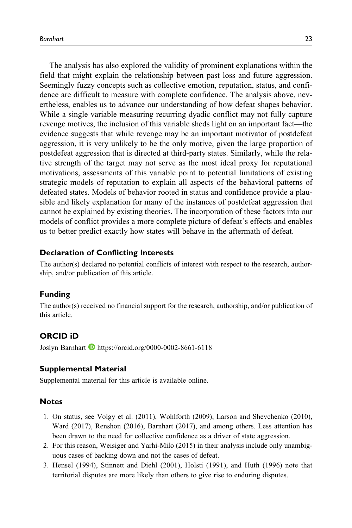The analysis has also explored the validity of prominent explanations within the field that might explain the relationship between past loss and future aggression. Seemingly fuzzy concepts such as collective emotion, reputation, status, and confidence are difficult to measure with complete confidence. The analysis above, nevertheless, enables us to advance our understanding of how defeat shapes behavior. While a single variable measuring recurring dyadic conflict may not fully capture revenge motives, the inclusion of this variable sheds light on an important fact—the evidence suggests that while revenge may be an important motivator of postdefeat aggression, it is very unlikely to be the only motive, given the large proportion of postdefeat aggression that is directed at third-party states. Similarly, while the relative strength of the target may not serve as the most ideal proxy for reputational motivations, assessments of this variable point to potential limitations of existing strategic models of reputation to explain all aspects of the behavioral patterns of defeated states. Models of behavior rooted in status and confidence provide a plausible and likely explanation for many of the instances of postdefeat aggression that cannot be explained by existing theories. The incorporation of these factors into our models of conflict provides a more complete picture of defeat's effects and enables us to better predict exactly how states will behave in the aftermath of defeat.

#### Declaration of Conflicting Interests

The author(s) declared no potential conflicts of interest with respect to the research, authorship, and/or publication of this article.

#### Funding

The author(s) received no financial support for the research, authorship, and/or publication of this article.

### ORCID iD

Joslyn Barnhart <https://orcid.org/0000-0002-8661-6118>

#### Supplemental Material

Supplemental material for this article is available online.

#### Notes

- 1. On status, see Volgy et al. (2011), Wohlforth (2009), Larson and Shevchenko (2010), Ward (2017), Renshon (2016), Barnhart (2017), and among others. Less attention has been drawn to the need for collective confidence as a driver of state aggression.
- 2. For this reason, Weisiger and Yarhi-Milo (2015) in their analysis include only unambiguous cases of backing down and not the cases of defeat.
- 3. Hensel (1994), Stinnett and Diehl (2001), Holsti (1991), and Huth (1996) note that territorial disputes are more likely than others to give rise to enduring disputes.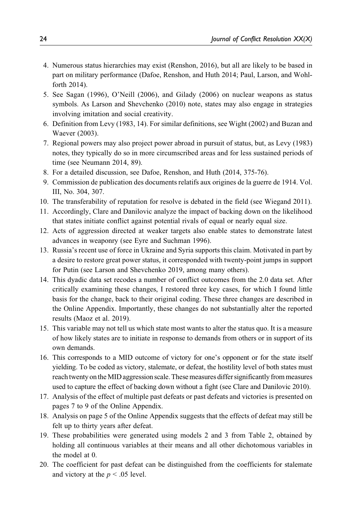- 4. Numerous status hierarchies may exist (Renshon, 2016), but all are likely to be based in part on military performance (Dafoe, Renshon, and Huth 2014; Paul, Larson, and Wohlforth 2014).
- 5. See Sagan (1996), O'Neill (2006), and Gilady (2006) on nuclear weapons as status symbols. As Larson and Shevchenko (2010) note, states may also engage in strategies involving imitation and social creativity.
- 6. Definition from Levy (1983, 14). For similar definitions, see Wight (2002) and Buzan and Waever (2003).
- 7. Regional powers may also project power abroad in pursuit of status, but, as Levy (1983) notes, they typically do so in more circumscribed areas and for less sustained periods of time (see Neumann 2014, 89).
- 8. For a detailed discussion, see Dafoe, Renshon, and Huth (2014, 375-76).
- 9. Commission de publication des documents relatifs aux origines de la guerre de 1914. Vol. III, No. 304, 307.
- 10. The transferability of reputation for resolve is debated in the field (see Wiegand 2011).
- 11. Accordingly, Clare and Danilovic analyze the impact of backing down on the likelihood that states initiate conflict against potential rivals of equal or nearly equal size.
- 12. Acts of aggression directed at weaker targets also enable states to demonstrate latest advances in weaponry (see Eyre and Suchman 1996).
- 13. Russia's recent use of force in Ukraine and Syria supports this claim. Motivated in part by a desire to restore great power status, it corresponded with twenty-point jumps in support for Putin (see Larson and Shevchenko 2019, among many others).
- 14. This dyadic data set recodes a number of conflict outcomes from the 2.0 data set. After critically examining these changes, I restored three key cases, for which I found little basis for the change, back to their original coding. These three changes are described in the Online Appendix. Importantly, these changes do not substantially alter the reported results (Maoz et al. 2019).
- 15. This variable may not tell us which state most wants to alter the status quo. It is a measure of how likely states are to initiate in response to demands from others or in support of its own demands.
- 16. This corresponds to a MID outcome of victory for one's opponent or for the state itself yielding. To be coded as victory, stalemate, or defeat, the hostility level of both states must reachtwenty on the MID aggression scale. These measures differ significantly from measures used to capture the effect of backing down without a fight (see Clare and Danilovic 2010).
- 17. Analysis of the effect of multiple past defeats or past defeats and victories is presented on pages 7 to 9 of the Online Appendix.
- 18. Analysis on page 5 of the Online Appendix suggests that the effects of defeat may still be felt up to thirty years after defeat.
- 19. These probabilities were generated using models 2 and 3 from Table 2, obtained by holding all continuous variables at their means and all other dichotomous variables in the model at 0.
- 20. The coefficient for past defeat can be distinguished from the coefficients for stalemate and victory at the  $p < .05$  level.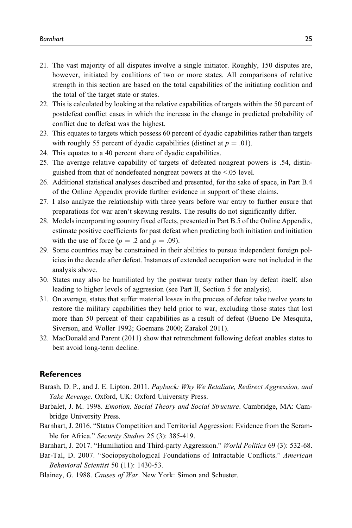- 21. The vast majority of all disputes involve a single initiator. Roughly, 150 disputes are, however, initiated by coalitions of two or more states. All comparisons of relative strength in this section are based on the total capabilities of the initiating coalition and the total of the target state or states.
- 22. This is calculated by looking at the relative capabilities of targets within the 50 percent of postdefeat conflict cases in which the increase in the change in predicted probability of conflict due to defeat was the highest.
- 23. This equates to targets which possess 60 percent of dyadic capabilities rather than targets with roughly 55 percent of dyadic capabilities (distinct at  $p = .01$ ).
- 24. This equates to a 40 percent share of dyadic capabilities.
- 25. The average relative capability of targets of defeated nongreat powers is .54, distinguished from that of nondefeated nongreat powers at the <.05 level.
- 26. Additional statistical analyses described and presented, for the sake of space, in Part B.4 of the Online Appendix provide further evidence in support of these claims.
- 27. I also analyze the relationship with three years before war entry to further ensure that preparations for war aren't skewing results. The results do not significantly differ.
- 28. Models incorporating country fixed effects, presented in Part B.5 of the Online Appendix, estimate positive coefficients for past defeat when predicting both initiation and initiation with the use of force ( $p = .2$  and  $p = .09$ ).
- 29. Some countries may be constrained in their abilities to pursue independent foreign policies in the decade after defeat. Instances of extended occupation were not included in the analysis above.
- 30. States may also be humiliated by the postwar treaty rather than by defeat itself, also leading to higher levels of aggression (see Part II, Section 5 for analysis).
- 31. On average, states that suffer material losses in the process of defeat take twelve years to restore the military capabilities they held prior to war, excluding those states that lost more than 50 percent of their capabilities as a result of defeat (Bueno De Mesquita, Siverson, and Woller 1992; Goemans 2000; Zarakol 2011).
- 32. MacDonald and Parent (2011) show that retrenchment following defeat enables states to best avoid long-term decline.

#### **References**

- Barash, D. P., and J. E. Lipton. 2011. Payback: Why We Retaliate, Redirect Aggression, and Take Revenge. Oxford, UK: Oxford University Press.
- Barbalet, J. M. 1998. Emotion, Social Theory and Social Structure. Cambridge, MA: Cambridge University Press.
- Barnhart, J. 2016. "Status Competition and Territorial Aggression: Evidence from the Scramble for Africa." Security Studies 25 (3): 385-419.
- Barnhart, J. 2017. "Humiliation and Third-party Aggression." World Politics 69 (3): 532-68.
- Bar-Tal, D. 2007. "Sociopsychological Foundations of Intractable Conflicts." American Behavioral Scientist 50 (11): 1430-53.
- Blainey, G. 1988. Causes of War. New York: Simon and Schuster.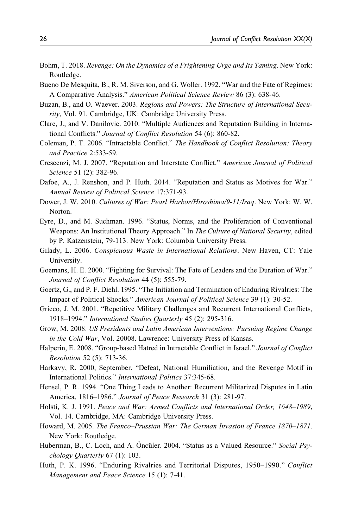- Bohm, T. 2018. Revenge: On the Dynamics of a Frightening Urge and Its Taming. New York: Routledge.
- Bueno De Mesquita, B., R. M. Siverson, and G. Woller. 1992. "War and the Fate of Regimes: A Comparative Analysis." American Political Science Review 86 (3): 638-46.
- Buzan, B., and O. Waever. 2003. Regions and Powers: The Structure of International Security, Vol. 91. Cambridge, UK: Cambridge University Press.
- Clare, J., and V. Danilovic. 2010. "Multiple Audiences and Reputation Building in International Conflicts." Journal of Conflict Resolution 54 (6): 860-82.
- Coleman, P. T. 2006. "Intractable Conflict." The Handbook of Conflict Resolution: Theory and Practice 2:533-59.
- Crescenzi, M. J. 2007. "Reputation and Interstate Conflict." American Journal of Political Science 51 (2): 382-96.
- Dafoe, A., J. Renshon, and P. Huth. 2014. "Reputation and Status as Motives for War." Annual Review of Political Science 17:371-93.
- Dower, J. W. 2010. Cultures of War: Pearl Harbor/Hiroshima/9-11/Iraq. New York: W. W. Norton.
- Eyre, D., and M. Suchman. 1996. "Status, Norms, and the Proliferation of Conventional Weapons: An Institutional Theory Approach." In The Culture of National Security, edited by P. Katzenstein, 79-113. New York: Columbia University Press.
- Gilady, L. 2006. Conspicuous Waste in International Relations. New Haven, CT: Yale University.
- Goemans, H. E. 2000. "Fighting for Survival: The Fate of Leaders and the Duration of War." Journal of Conflict Resolution 44 (5): 555-79.
- Goertz, G., and P. F. Diehl. 1995. "The Initiation and Termination of Enduring Rivalries: The Impact of Political Shocks." American Journal of Political Science 39 (1): 30-52.
- Grieco, J. M. 2001. "Repetitive Military Challenges and Recurrent International Conflicts, 1918–1994." International Studies Quarterly 45 (2): 295-316.
- Grow, M. 2008. US Presidents and Latin American Interventions: Pursuing Regime Change in the Cold War, Vol. 20008. Lawrence: University Press of Kansas.
- Halperin, E. 2008. "Group-based Hatred in Intractable Conflict in Israel." Journal of Conflict Resolution 52 (5): 713-36.
- Harkavy, R. 2000, September. "Defeat, National Humiliation, and the Revenge Motif in International Politics." International Politics 37:345-68.
- Hensel, P. R. 1994. "One Thing Leads to Another: Recurrent Militarized Disputes in Latin America, 1816–1986." Journal of Peace Research 31 (3): 281-97.
- Holsti, K. J. 1991. Peace and War: Armed Conflicts and International Order, 1648–1989, Vol. 14. Cambridge, MA: Cambridge University Press.
- Howard, M. 2005. The Franco–Prussian War: The German Invasion of France 1870–1871. New York: Routledge.
- Huberman, B., C. Loch, and A. Öncüler. 2004. "Status as a Valued Resource." Social Psychology Quarterly 67 (1): 103.
- Huth, P. K. 1996. "Enduring Rivalries and Territorial Disputes, 1950–1990." Conflict Management and Peace Science 15 (1): 7-41.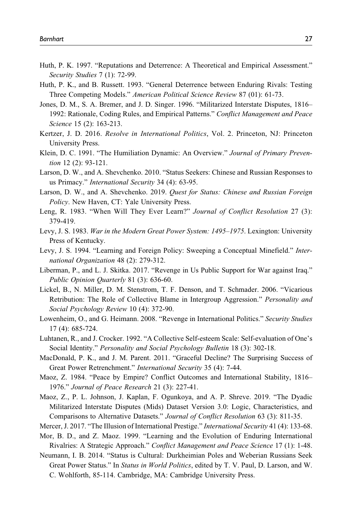- Huth, P. K. 1997. "Reputations and Deterrence: A Theoretical and Empirical Assessment." Security Studies 7 (1): 72-99.
- Huth, P. K., and B. Russett. 1993. "General Deterrence between Enduring Rivals: Testing Three Competing Models." American Political Science Review 87 (01): 61-73.
- Jones, D. M., S. A. Bremer, and J. D. Singer. 1996. "Militarized Interstate Disputes, 1816– 1992: Rationale, Coding Rules, and Empirical Patterns." Conflict Management and Peace Science 15 (2): 163-213.
- Kertzer, J. D. 2016. Resolve in International Politics, Vol. 2. Princeton, NJ: Princeton University Press.
- Klein, D. C. 1991. "The Humiliation Dynamic: An Overview." Journal of Primary Prevention 12 (2): 93-121.
- Larson, D. W., and A. Shevchenko. 2010. "Status Seekers: Chinese and Russian Responses to us Primacy." International Security 34 (4): 63-95.
- Larson, D. W., and A. Shevchenko. 2019. Quest for Status: Chinese and Russian Foreign Policy. New Haven, CT: Yale University Press.
- Leng, R. 1983. "When Will They Ever Learn?" Journal of Conflict Resolution 27 (3): 379-419.
- Levy, J. S. 1983. War in the Modern Great Power System: 1495–1975. Lexington: University Press of Kentucky.
- Levy, J. S. 1994. "Learning and Foreign Policy: Sweeping a Conceptual Minefield." International Organization 48 (2): 279-312.
- Liberman, P., and L. J. Skitka. 2017. "Revenge in Us Public Support for War against Iraq." Public Opinion Quarterly 81 (3): 636-60.
- Lickel, B., N. Miller, D. M. Stenstrom, T. F. Denson, and T. Schmader. 2006. "Vicarious Retribution: The Role of Collective Blame in Intergroup Aggression." *Personality and* Social Psychology Review 10 (4): 372-90.
- Lowenheim, O., and G. Heimann. 2008. "Revenge in International Politics." Security Studies 17 (4): 685-724.
- Luhtanen, R., and J. Crocker. 1992. "A Collective Self-esteem Scale: Self-evaluation of One's Social Identity." Personality and Social Psychology Bulletin 18 (3): 302-18.
- MacDonald, P. K., and J. M. Parent. 2011. "Graceful Decline? The Surprising Success of Great Power Retrenchment." International Security 35 (4): 7-44.
- Maoz, Z. 1984. "Peace by Empire? Conflict Outcomes and International Stability, 1816– 1976." Journal of Peace Research 21 (3): 227-41.
- Maoz, Z., P. L. Johnson, J. Kaplan, F. Ogunkoya, and A. P. Shreve. 2019. "The Dyadic Militarized Interstate Disputes (Mids) Dataset Version 3.0: Logic, Characteristics, and Comparisons to Alternative Datasets." Journal of Conflict Resolution 63 (3): 811-35.
- Mercer, J. 2017. "The Illusion of International Prestige." International Security 41 (4): 133-68.
- Mor, B. D., and Z. Maoz. 1999. "Learning and the Evolution of Enduring International Rivalries: A Strategic Approach." Conflict Management and Peace Science 17 (1): 1-48.
- Neumann, I. B. 2014. "Status is Cultural: Durkheimian Poles and Weberian Russians Seek Great Power Status." In Status in World Politics, edited by T. V. Paul, D. Larson, and W. C. Wohlforth, 85-114. Cambridge, MA: Cambridge University Press.